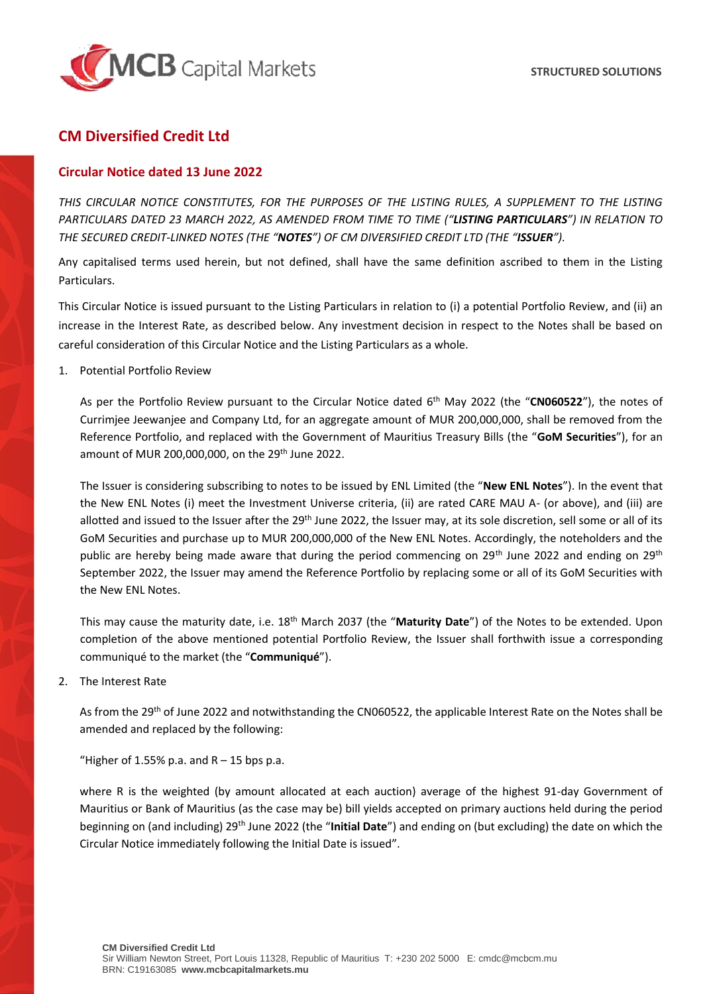

## **CM Diversified Credit Ltd**

## **Circular Notice dated 13 June 2022**

*THIS CIRCULAR NOTICE CONSTITUTES, FOR THE PURPOSES OF THE LISTING RULES, A SUPPLEMENT TO THE LISTING PARTICULARS DATED 23 MARCH 2022, AS AMENDED FROM TIME TO TIME ("LISTING PARTICULARS") IN RELATION TO THE SECURED CREDIT-LINKED NOTES (THE "NOTES") OF CM DIVERSIFIED CREDIT LTD (THE "ISSUER").*

Any capitalised terms used herein, but not defined, shall have the same definition ascribed to them in the Listing Particulars.

This Circular Notice is issued pursuant to the Listing Particulars in relation to (i) a potential Portfolio Review, and (ii) an increase in the Interest Rate, as described below. Any investment decision in respect to the Notes shall be based on careful consideration of this Circular Notice and the Listing Particulars as a whole.

1. Potential Portfolio Review

As per the Portfolio Review pursuant to the Circular Notice dated 6<sup>th</sup> May 2022 (the "CN060522"), the notes of Currimjee Jeewanjee and Company Ltd, for an aggregate amount of MUR 200,000,000, shall be removed from the Reference Portfolio, and replaced with the Government of Mauritius Treasury Bills (the "**GoM Securities**"), for an amount of MUR 200,000,000, on the 29<sup>th</sup> June 2022.

The Issuer is considering subscribing to notes to be issued by ENL Limited (the "**New ENL Notes**"). In the event that the New ENL Notes (i) meet the Investment Universe criteria, (ii) are rated CARE MAU A- (or above), and (iii) are allotted and issued to the Issuer after the 29<sup>th</sup> June 2022, the Issuer may, at its sole discretion, sell some or all of its GoM Securities and purchase up to MUR 200,000,000 of the New ENL Notes. Accordingly, the noteholders and the public are hereby being made aware that during the period commencing on 29<sup>th</sup> June 2022 and ending on 29<sup>th</sup> September 2022, the Issuer may amend the Reference Portfolio by replacing some or all of its GoM Securities with the New ENL Notes.

This may cause the maturity date, i.e. 18th March 2037 (the "**Maturity Date**") of the Notes to be extended. Upon completion of the above mentioned potential Portfolio Review, the Issuer shall forthwith issue a corresponding communiqué to the market (the "**Communiqué**").

2. The Interest Rate

As from the 29<sup>th</sup> of June 2022 and notwithstanding the CN060522, the applicable Interest Rate on the Notes shall be amended and replaced by the following:

"Higher of 1.55% p.a. and  $R - 15$  bps p.a.

where R is the weighted (by amount allocated at each auction) average of the highest 91-day Government of Mauritius or Bank of Mauritius (as the case may be) bill yields accepted on primary auctions held during the period beginning on (and including) 29th June 2022 (the "**Initial Date**") and ending on (but excluding) the date on which the Circular Notice immediately following the Initial Date is issued".